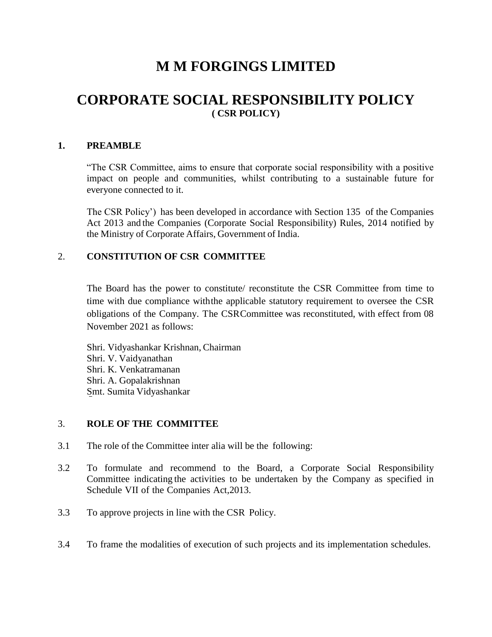# **M M FORGINGS LIMITED**

# **CORPORATE SOCIAL RESPONSIBILITY POLICY ( CSR POLICY)**

#### **1. PREAMBLE**

"The CSR Committee, aims to ensure that corporate social responsibility with a positive impact on people and communities, whilst contributing to a sustainable future for everyone connected to it.

The CSR Policy') has been developed in accordance with Section 135 of the Companies Act 2013 and the Companies (Corporate Social Responsibility) Rules, 2014 notified by the Ministry of Corporate Affairs, Government of India.

#### 2. **CONSTITUTION OF CSR COMMITTEE**

The Board has the power to constitute/ reconstitute the CSR Committee from time to time with due compliance withthe applicable statutory requirement to oversee the CSR obligations of the Company. The CSRCommittee was reconstituted, with effect from 08 November 2021 as follows:

Shri. Vidyashankar Krishnan, Chairman Shri. V. Vaidyanathan Shri. K. Venkatramanan Shri. A. Gopalakrishnan Smt. Sumita Vidyashankar

#### 3. **ROLE OF THE COMMITTEE**

- 3.1 The role of the Committee inter alia will be the following:
- 3.2 To formulate and recommend to the Board, a Corporate Social Responsibility Committee indicating the activities to be undertaken by the Company as specified in Schedule VII of the Companies Act,2013.
- 3.3 To approve projects in line with the CSR Policy.
- 3.4 To frame the modalities of execution of such projects and its implementation schedules.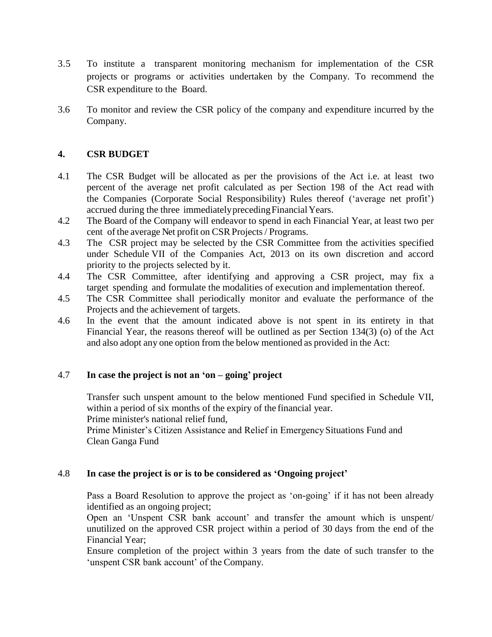- 3.5 To institute a transparent monitoring mechanism for implementation of the CSR projects or programs or activities undertaken by the Company. To recommend the CSR expenditure to the Board.
- 3.6 To monitor and review the CSR policy of the company and expenditure incurred by the Company.

# **4. CSR BUDGET**

- 4.1 The CSR Budget will be allocated as per the provisions of the Act i.e. at least two percent of the average net profit calculated as per Section 198 of the Act read with the Companies (Corporate Social Responsibility) Rules thereof ('average net profit') accrued during the three immediately preceding Financial Years.
- 4.2 The Board of the Company will endeavor to spend in each Financial Year, at least two per cent of the average Net profit on CSR Projects / Programs.
- 4.3 The CSR project may be selected by the CSR Committee from the activities specified under Schedule VII of the Companies Act, 2013 on its own discretion and accord priority to the projects selected by it.
- 4.4 The CSR Committee, after identifying and approving a CSR project, may fix a target spending and formulate the modalities of execution and implementation thereof.
- 4.5 The CSR Committee shall periodically monitor and evaluate the performance of the Projects and the achievement of targets.
- 4.6 In the event that the amount indicated above is not spent in its entirety in that Financial Year, the reasons thereof will be outlined as per Section 134(3) (o) of the Act and also adopt any one option from the below mentioned as provided in the Act:

# 4.7 **In case the project is not an 'on – going' project**

Transfer such unspent amount to the below mentioned Fund specified in Schedule VII, within a period of six months of the expiry of the financial year. Prime minister's national relief fund,

Prime Minister's Citizen Assistance and Relief in EmergencySituations Fund and Clean Ganga Fund

# 4.8 **In case the project is or is to be considered as 'Ongoing project'**

Pass a Board Resolution to approve the project as 'on-going' if it has not been already identified as an ongoing project;

Open an 'Unspent CSR bank account' and transfer the amount which is unspent/ unutilized on the approved CSR project within a period of 30 days from the end of the Financial Year;

Ensure completion of the project within 3 years from the date of such transfer to the 'unspent CSR bank account' of the Company.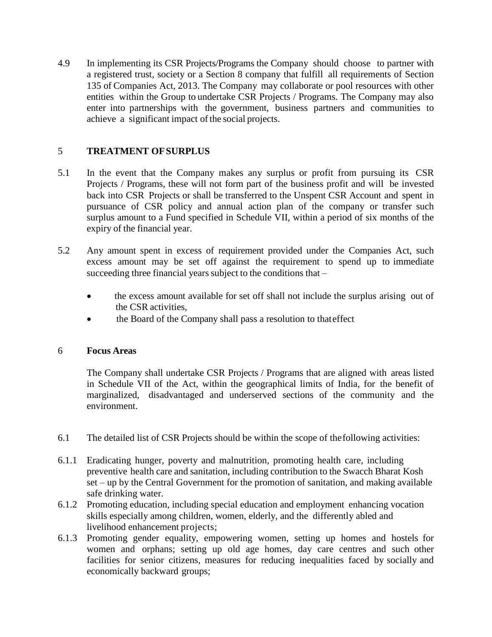4.9 In implementing its CSR Projects/Programs the Company should choose to partner with a registered trust, society or a Section 8 company that fulfill all requirements of Section 135 of Companies Act, 2013. The Company may collaborate or pool resources with other entities within the Group to undertake CSR Projects / Programs. The Company may also enter into partnerships with the government, business partners and communities to achieve a significant impact of the social projects.

# 5 **TREATMENT OFSURPLUS**

- 5.1 In the event that the Company makes any surplus or profit from pursuing its CSR Projects / Programs, these will not form part of the business profit and will be invested back into CSR Projects or shall be transferred to the Unspent CSR Account and spent in pursuance of CSR policy and annual action plan of the company or transfer such surplus amount to a Fund specified in Schedule VII, within a period of six months of the expiry of the financial year.
- 5.2 Any amount spent in excess of requirement provided under the Companies Act, such excess amount may be set off against the requirement to spend up to immediate succeeding three financial years subject to the conditions that –
	- the excess amount available for set off shall not include the surplus arising out of the CSR activities,
	- the Board of the Company shall pass a resolution to that effect

# 6 **Focus Areas**

The Company shall undertake CSR Projects / Programs that are aligned with areas listed in Schedule VII of the Act, within the geographical limits of India, for the benefit of marginalized, disadvantaged and underserved sections of the community and the environment.

- 6.1 The detailed list of CSR Projects should be within the scope of thefollowing activities:
- 6.1.1 Eradicating hunger, poverty and malnutrition, promoting health care, including preventive health care and sanitation, including contribution to the Swacch Bharat Kosh set – up by the Central Government for the promotion of sanitation, and making available safe drinking water.
- 6.1.2 Promoting education, including special education and employment enhancing vocation skills especially among children, women, elderly, and the differently abled and livelihood enhancement projects;
- 6.1.3 Promoting gender equality, empowering women, setting up homes and hostels for women and orphans; setting up old age homes, day care centres and such other facilities for senior citizens, measures for reducing inequalities faced by socially and economically backward groups;